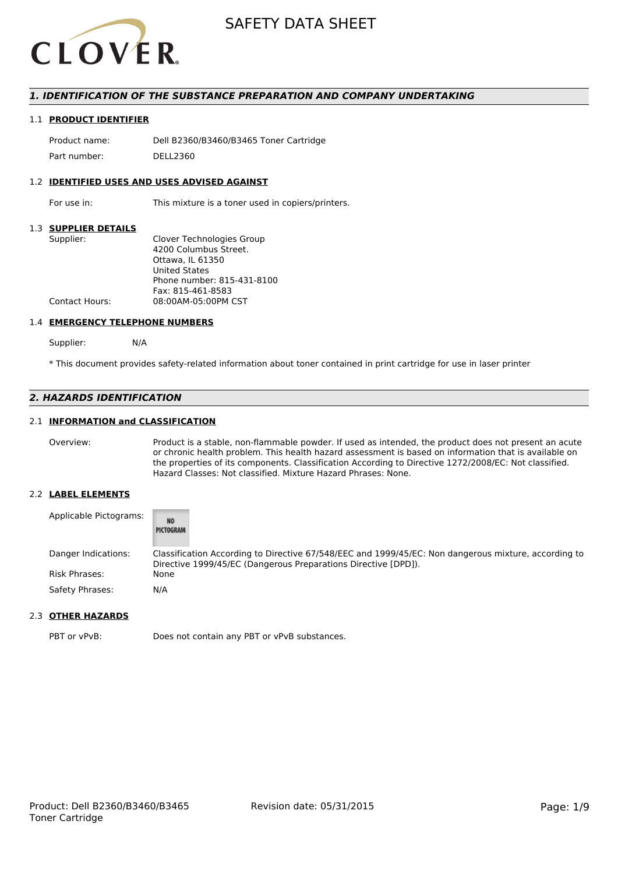

## *1. IDENTIFICATION OF THE SUBSTANCE PREPARATION AND COMPANY UNDERTAKING*

### 1.1 **PRODUCT IDENTIFIER**

Product name: Dell B2360/B3460/B3465 Toner Cartridge Part number: DELL2360

### 1.2 **IDENTIFIED USES AND USES ADVISED AGAINST**

For use in: This mixture is a toner used in copiers/printers.

## 1.3 **SUPPLIER DETAILS**

| Supplier:             | Clover Technologies Group  |
|-----------------------|----------------------------|
|                       | 4200 Columbus Street.      |
|                       | Ottawa. IL 61350           |
|                       | <b>United States</b>       |
|                       | Phone number: 815-431-8100 |
|                       | Fax: 815-461-8583          |
| <b>Contact Hours:</b> | 08:00AM-05:00PM CST        |
|                       |                            |

### 1.4 **EMERGENCY TELEPHONE NUMBERS**

Supplier: N/A

\* This document provides safety-related information about toner contained in print cartridge for use in laser printer

# *2. HAZARDS IDENTIFICATION*

## 2.1 **INFORMATION and CLASSIFICATION**

Overview: Product is a stable, non-flammable powder. If used as intended, the product does not present an acute or chronic health problem. This health hazard assessment is based on information that is available on the properties of its components. Classification According to Directive 1272/2008/EC: Not classified. Hazard Classes: Not classified. Mixture Hazard Phrases: None.

### 2.2 **LABEL ELEMENTS**

| Applicable Pictograms: | <b>NO</b><br>PICTOGRAM                                                                                                                                                 |
|------------------------|------------------------------------------------------------------------------------------------------------------------------------------------------------------------|
| Danger Indications:    | Classification According to Directive 67/548/EEC and 1999/45/EC: Non dangerous mixture, according to<br>Directive 1999/45/EC (Dangerous Preparations Directive [DPD]). |
| Risk Phrases:          | None                                                                                                                                                                   |
| Safety Phrases:        | N/A                                                                                                                                                                    |

# 2.3 **OTHER HAZARDS**

PBT or vPvB: Does not contain any PBT or vPvB substances.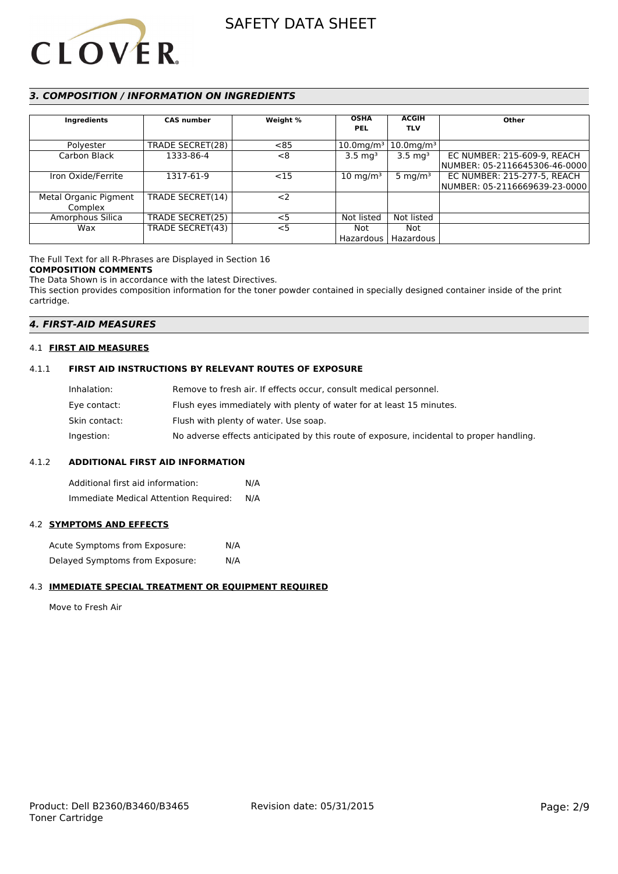

# *3. COMPOSITION / INFORMATION ON INGREDIENTS*

| Ingredients           | <b>CAS number</b> | Weight % | <b>OSHA</b><br><b>PEL</b> | <b>ACGIH</b><br><b>TLV</b> | Other                         |
|-----------------------|-------------------|----------|---------------------------|----------------------------|-------------------------------|
|                       |                   |          |                           |                            |                               |
| Polyester             | TRADE SECRET(28)  | < 85     | $10.0$ mg/m <sup>3</sup>  | $10.0$ mg/m $3$            |                               |
| Carbon Black          | 1333-86-4         | <8       | $3.5 \text{ ma}^3$        | $3.5 \text{ mg}^3$         | EC NUMBER: 215-609-9, REACH   |
|                       |                   |          |                           |                            | NUMBER: 05-2116645306-46-0000 |
| Iron Oxide/Ferrite    | 1317-61-9         | <15      | $10 \text{ mg/m}^3$       | 5 mg/m $3$                 | EC NUMBER: 215-277-5, REACH   |
|                       |                   |          |                           |                            | NUMBER: 05-2116669639-23-0000 |
| Metal Organic Pigment | TRADE SECRET(14)  | $<$ 2    |                           |                            |                               |
| Complex               |                   |          |                           |                            |                               |
| Amorphous Silica      | TRADE SECRET(25)  | $<$ 5    | Not listed                | Not listed                 |                               |
| Wax                   | TRADE SECRET(43)  | $<$ 5    | Not                       | Not                        |                               |
|                       |                   |          |                           | Hazardous   Hazardous      |                               |

# The Full Text for all R-Phrases are Displayed in Section 16

# **COMPOSITION COMMENTS**

The Data Shown is in accordance with the latest Directives. This section provides composition information for the toner powder contained in specially designed container inside of the print cartridge.

# *4. FIRST-AID MEASURES*

## 4.1 **FIRST AID MEASURES**

# 4.1.1 **FIRST AID INSTRUCTIONS BY RELEVANT ROUTES OF EXPOSURE**

| Inhalation:   | Remove to fresh air. If effects occur, consult medical personnel.                        |
|---------------|------------------------------------------------------------------------------------------|
| Eye contact:  | Flush eyes immediately with plenty of water for at least 15 minutes.                     |
| Skin contact: | Flush with plenty of water. Use soap.                                                    |
| Ingestion:    | No adverse effects anticipated by this route of exposure, incidental to proper handling. |

## 4.1.2 **ADDITIONAL FIRST AID INFORMATION**

Additional first aid information: N/A Immediate Medical Attention Required: N/A

## 4.2 **SYMPTOMS AND EFFECTS**

| Acute Symptoms from Exposure:   | N/A |
|---------------------------------|-----|
| Delayed Symptoms from Exposure: | N/A |

## 4.3 **IMMEDIATE SPECIAL TREATMENT OR EQUIPMENT REQUIRED**

Move to Fresh Air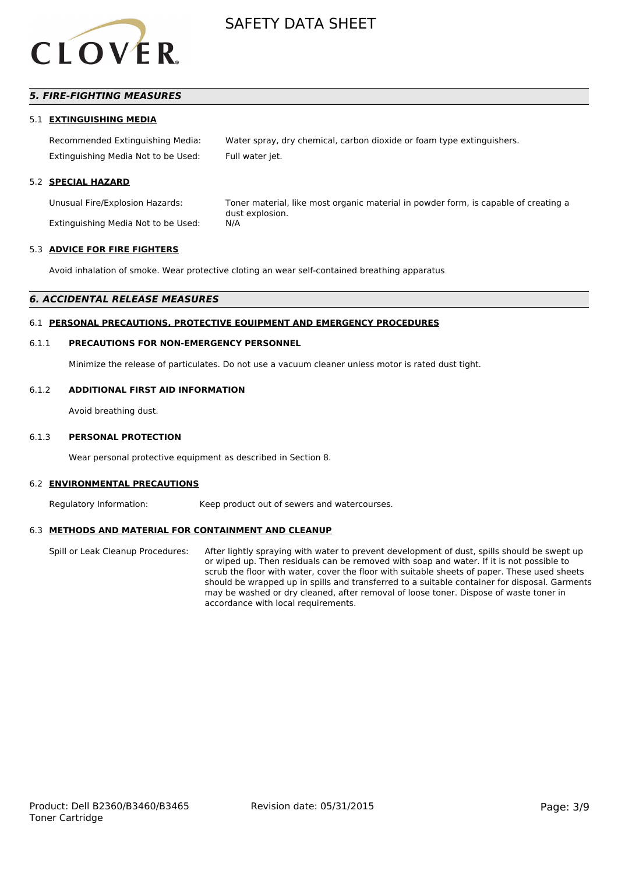

# *5. FIRE-FIGHTING MEASURES*

### 5.1 **EXTINGUISHING MEDIA**

Recommended Extinguishing Media: Water spray, dry chemical, carbon dioxide or foam type extinguishers. Extinguishing Media Not to be Used: Full water jet.

### 5.2 **SPECIAL HAZARD**

Extinguishing Media Not to be Used: N/A

Unusual Fire/Explosion Hazards: Toner material, like most organic material in powder form, is capable of creating a dust explosion.

#### 5.3 **ADVICE FOR FIRE FIGHTERS**

Avoid inhalation of smoke. Wear protective cloting an wear self-contained breathing apparatus

#### *6. ACCIDENTAL RELEASE MEASURES*

#### 6.1 **PERSONAL PRECAUTIONS, PROTECTIVE EQUIPMENT AND EMERGENCY PROCEDURES**

#### 6.1.1 **PRECAUTIONS FOR NON-EMERGENCY PERSONNEL**

Minimize the release of particulates. Do not use a vacuum cleaner unless motor is rated dust tight.

#### 6.1.2 **ADDITIONAL FIRST AID INFORMATION**

Avoid breathing dust.

#### 6.1.3 **PERSONAL PROTECTION**

Wear personal protective equipment as described in Section 8.

#### 6.2 **ENVIRONMENTAL PRECAUTIONS**

Regulatory Information: Keep product out of sewers and watercourses.

#### 6.3 **METHODS AND MATERIAL FOR CONTAINMENT AND CLEANUP**

Spill or Leak Cleanup Procedures: After lightly spraying with water to prevent development of dust, spills should be swept up or wiped up. Then residuals can be removed with soap and water. If it is not possible to scrub the floor with water, cover the floor with suitable sheets of paper. These used sheets should be wrapped up in spills and transferred to a suitable container for disposal. Garments may be washed or dry cleaned, after removal of loose toner. Dispose of waste toner in accordance with local requirements.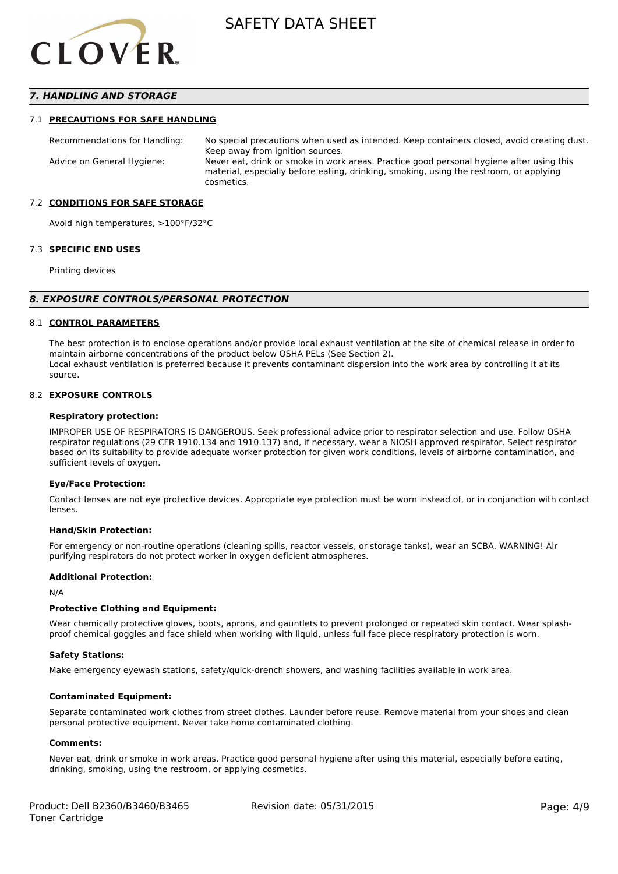

## *7. HANDLING AND STORAGE*

### 7.1 **PRECAUTIONS FOR SAFE HANDLING**

Recommendations for Handling: No special precautions when used as intended. Keep containers closed, avoid creating dust. Keep away from ignition sources. Advice on General Hygiene: Never eat, drink or smoke in work areas. Practice good personal hygiene after using this material, especially before eating, drinking, smoking, using the restroom, or applying cosmetics.

### 7.2 **CONDITIONS FOR SAFE STORAGE**

Avoid high temperatures, >100°F/32°C

#### 7.3 **SPECIFIC END USES**

Printing devices

#### *8. EXPOSURE CONTROLS/PERSONAL PROTECTION*

### 8.1 **CONTROL PARAMETERS**

The best protection is to enclose operations and/or provide local exhaust ventilation at the site of chemical release in order to maintain airborne concentrations of the product below OSHA PELs (See Section 2). Local exhaust ventilation is preferred because it prevents contaminant dispersion into the work area by controlling it at its source.

#### 8.2 **EXPOSURE CONTROLS**

#### **Respiratory protection:**

IMPROPER USE OF RESPIRATORS IS DANGEROUS. Seek professional advice prior to respirator selection and use. Follow OSHA respirator regulations (29 CFR 1910.134 and 1910.137) and, if necessary, wear a NIOSH approved respirator. Select respirator based on its suitability to provide adequate worker protection for given work conditions, levels of airborne contamination, and sufficient levels of oxygen.

#### **Eye/Face Protection:**

Contact lenses are not eye protective devices. Appropriate eye protection must be worn instead of, or in conjunction with contact lenses.

#### **Hand/Skin Protection:**

For emergency or non-routine operations (cleaning spills, reactor vessels, or storage tanks), wear an SCBA. WARNING! Air purifying respirators do not protect worker in oxygen deficient atmospheres.

## **Additional Protection:**

N/A

## **Protective Clothing and Equipment:**

Wear chemically protective gloves, boots, aprons, and gauntlets to prevent prolonged or repeated skin contact. Wear splashproof chemical goggles and face shield when working with liquid, unless full face piece respiratory protection is worn.

#### **Safety Stations:**

Make emergency eyewash stations, safety/quick-drench showers, and washing facilities available in work area.

### **Contaminated Equipment:**

Separate contaminated work clothes from street clothes. Launder before reuse. Remove material from your shoes and clean personal protective equipment. Never take home contaminated clothing.

#### **Comments:**

Never eat, drink or smoke in work areas. Practice good personal hygiene after using this material, especially before eating, drinking, smoking, using the restroom, or applying cosmetics.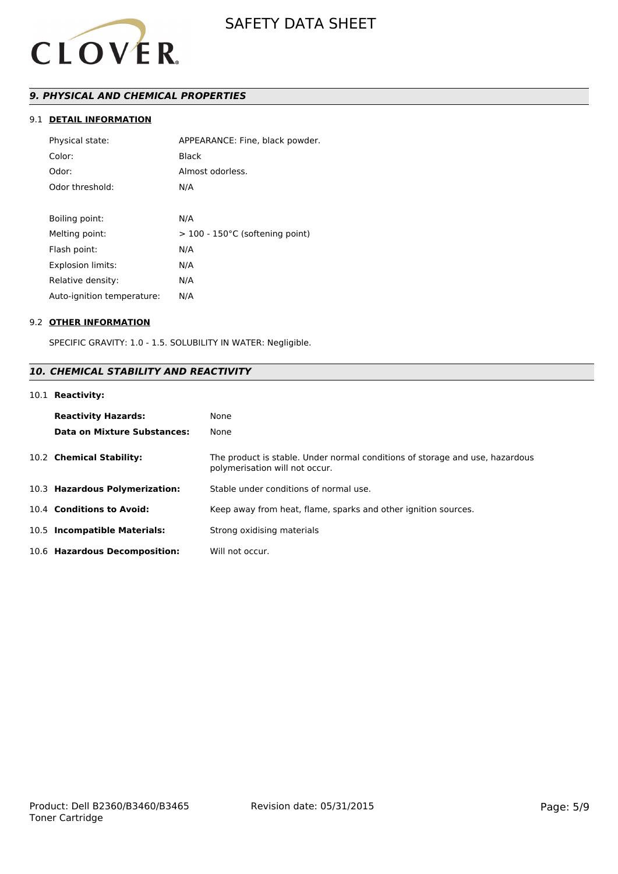

# *9. PHYSICAL AND CHEMICAL PROPERTIES*

# 9.1 **DETAIL INFORMATION**

| Physical state:            | APPEARANCE: Fine, black powder.   |
|----------------------------|-----------------------------------|
| Color:                     | Black                             |
| Odor:                      | Almost odorless.                  |
| Odor threshold:            | N/A                               |
|                            |                                   |
| Boiling point:             | N/A                               |
| Melting point:             | $>$ 100 - 150°C (softening point) |
| Flash point:               | N/A                               |
| <b>Explosion limits:</b>   | N/A                               |
| Relative density:          | N/A                               |
| Auto-ignition temperature: | N/A                               |

## 9.2 **OTHER INFORMATION**

SPECIFIC GRAVITY: 1.0 - 1.5. SOLUBILITY IN WATER: Negligible.

# *10. CHEMICAL STABILITY AND REACTIVITY*

## 10.1 **Reactivity:**

| <b>Reactivity Hazards:</b>     | None                                                                                                           |
|--------------------------------|----------------------------------------------------------------------------------------------------------------|
| Data on Mixture Substances:    | None                                                                                                           |
| 10.2 Chemical Stability:       | The product is stable. Under normal conditions of storage and use, hazardous<br>polymerisation will not occur. |
| 10.3 Hazardous Polymerization: | Stable under conditions of normal use.                                                                         |
| 10.4 Conditions to Avoid:      | Keep away from heat, flame, sparks and other ignition sources.                                                 |
| 10.5 Incompatible Materials:   | Strong oxidising materials                                                                                     |
| 10.6 Hazardous Decomposition:  | Will not occur.                                                                                                |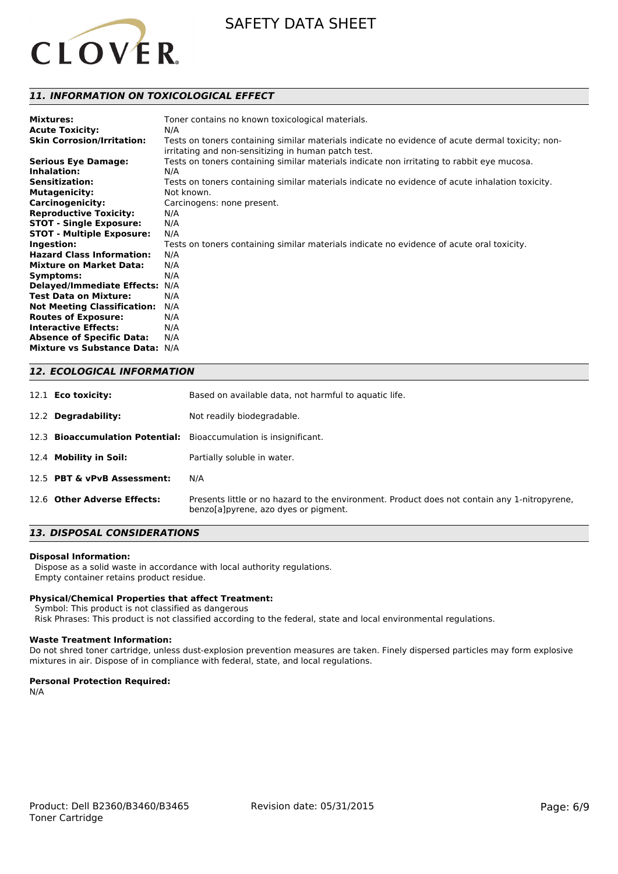

# *11. INFORMATION ON TOXICOLOGICAL EFFECT*

| <b>Mixtures:</b><br><b>Acute Toxicity:</b><br><b>Skin Corrosion/Irritation:</b> | Toner contains no known toxicological materials.<br>N/A<br>Tests on toners containing similar materials indicate no evidence of acute dermal toxicity; non- |
|---------------------------------------------------------------------------------|-------------------------------------------------------------------------------------------------------------------------------------------------------------|
|                                                                                 | irritating and non-sensitizing in human patch test.                                                                                                         |
| <b>Serious Eye Damage:</b>                                                      | Tests on toners containing similar materials indicate non irritating to rabbit eye mucosa.                                                                  |
| Inhalation:                                                                     | N/A                                                                                                                                                         |
| <b>Sensitization:</b>                                                           | Tests on toners containing similar materials indicate no evidence of acute inhalation toxicity.                                                             |
| <b>Mutagenicity:</b>                                                            | Not known.                                                                                                                                                  |
| <b>Carcinogenicity:</b>                                                         | Carcinogens: none present.                                                                                                                                  |
| <b>Reproductive Toxicity:</b>                                                   | N/A                                                                                                                                                         |
| <b>STOT - Single Exposure:</b>                                                  | N/A                                                                                                                                                         |
| <b>STOT - Multiple Exposure:</b>                                                | N/A                                                                                                                                                         |
| Ingestion:                                                                      | Tests on toners containing similar materials indicate no evidence of acute oral toxicity.                                                                   |
| <b>Hazard Class Information:</b>                                                | N/A                                                                                                                                                         |
| <b>Mixture on Market Data:</b>                                                  | N/A                                                                                                                                                         |
| Symptoms:                                                                       | N/A                                                                                                                                                         |
| Delayed/Immediate Effects: N/A                                                  |                                                                                                                                                             |
| <b>Test Data on Mixture:</b>                                                    | N/A                                                                                                                                                         |
| <b>Not Meeting Classification:</b>                                              | N/A                                                                                                                                                         |
| <b>Routes of Exposure:</b>                                                      | N/A                                                                                                                                                         |
| <b>Interactive Effects:</b>                                                     | N/A                                                                                                                                                         |
| <b>Absence of Specific Data:</b>                                                | N/A                                                                                                                                                         |
| Mixture vs Substance Data: N/A                                                  |                                                                                                                                                             |

# *12. ECOLOGICAL INFORMATION*

| 12.1 <b>Eco toxicity:</b>   | Based on available data, not harmful to aquatic life.                                                                                 |
|-----------------------------|---------------------------------------------------------------------------------------------------------------------------------------|
| 12.2 Degradability:         | Not readily biodegradable.                                                                                                            |
|                             | 12.3 Bioaccumulation Potential: Bioaccumulation is insignificant.                                                                     |
| 12.4 Mobility in Soil:      | Partially soluble in water.                                                                                                           |
| 12.5 PBT & vPvB Assessment: | N/A                                                                                                                                   |
| 12.6 Other Adverse Effects: | Presents little or no hazard to the environment. Product does not contain any 1-nitropyrene.<br>benzola lovrene, azo dyes or pigment. |

# *13. DISPOSAL CONSIDERATIONS*

#### **Disposal Information:**

 Dispose as a solid waste in accordance with local authority regulations. Empty container retains product residue.

### **Physical/Chemical Properties that affect Treatment:**

Symbol: This product is not classified as dangerous

Risk Phrases: This product is not classified according to the federal, state and local environmental regulations.

### **Waste Treatment Information:**

Do not shred toner cartridge, unless dust-explosion prevention measures are taken. Finely dispersed particles may form explosive mixtures in air. Dispose of in compliance with federal, state, and local regulations.

#### **Personal Protection Required:**

N/A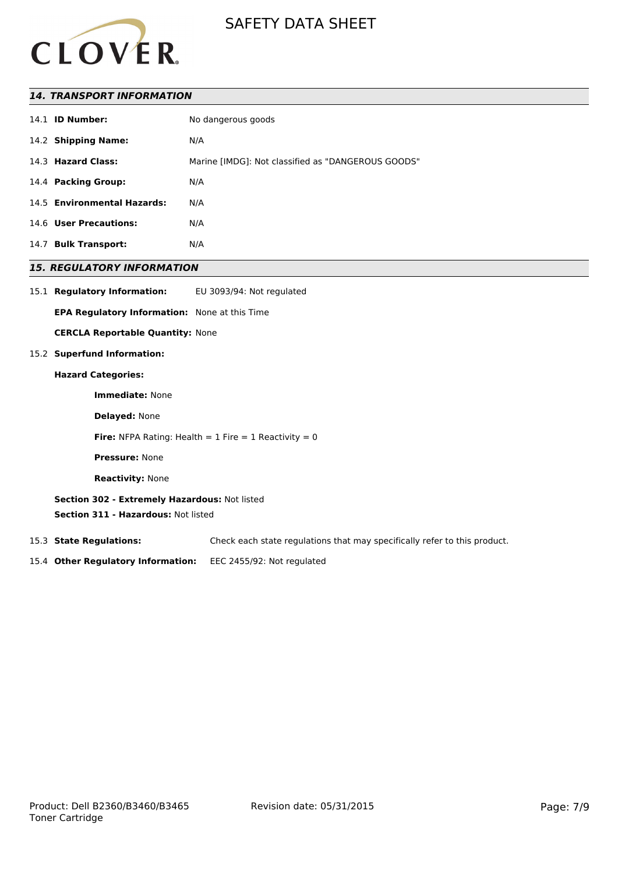

## *14. TRANSPORT INFORMATION*

| No dangerous goods                                                                                                                                                          |
|-----------------------------------------------------------------------------------------------------------------------------------------------------------------------------|
| N/A                                                                                                                                                                         |
| Marine [IMDG]: Not classified as "DANGEROUS GOODS"                                                                                                                          |
| N/A                                                                                                                                                                         |
| N/A                                                                                                                                                                         |
| N/A                                                                                                                                                                         |
| N/A                                                                                                                                                                         |
| 14.1 <b>ID Number:</b><br>14.2 Shipping Name:<br>14.3 Hazard Class:<br>14.4 Packing Group:<br>14.5 Environmental Hazards:<br>14.6 User Precautions:<br>14.7 Bulk Transport: |

# *15. REGULATORY INFORMATION*

15.1 **Regulatory Information:** EU 3093/94: Not regulated

**EPA Regulatory Information:** None at this Time

**CERCLA Reportable Quantity:** None

## 15.2 **Superfund Information:**

#### **Hazard Categories:**

**Immediate:** None

**Delayed:** None

**Fire:** NFPA Rating: Health =  $1$  Fire =  $1$  Reactivity =  $0$ 

**Pressure:** None

**Reactivity:** None

**Section 302 - Extremely Hazardous:** Not listed

**Section 311 - Hazardous:** Not listed

15.3 **State Regulations:** Check each state regulations that may specifically refer to this product.

15.4 **Other Regulatory Information:** EEC 2455/92: Not regulated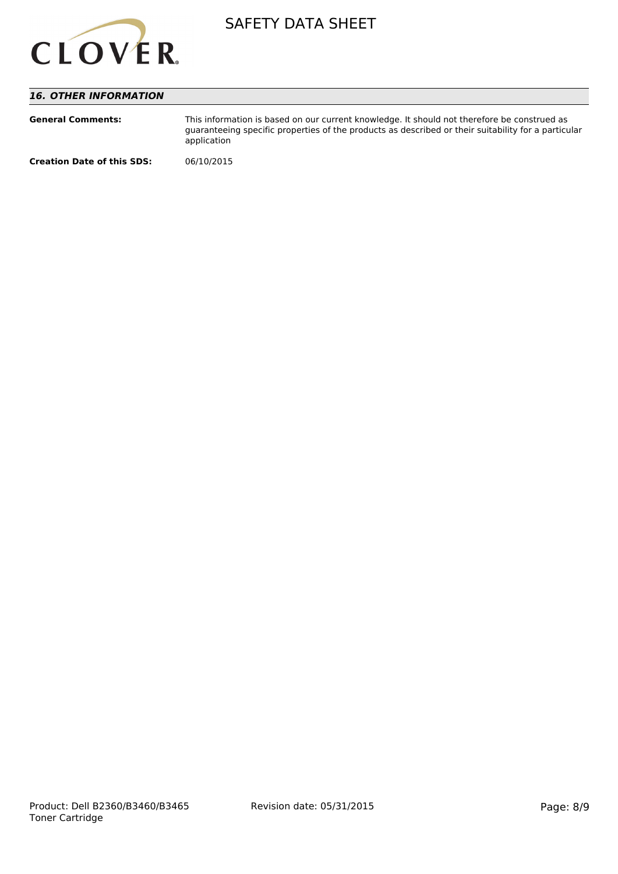

# *16. OTHER INFORMATION*

| <b>General Comments:</b>          | This information is based on our current knowledge. It should not therefore be construed as<br>quaranteeing specific properties of the products as described or their suitability for a particular<br>application |
|-----------------------------------|-------------------------------------------------------------------------------------------------------------------------------------------------------------------------------------------------------------------|
| <b>Creation Date of this SDS:</b> | 06/10/2015                                                                                                                                                                                                        |